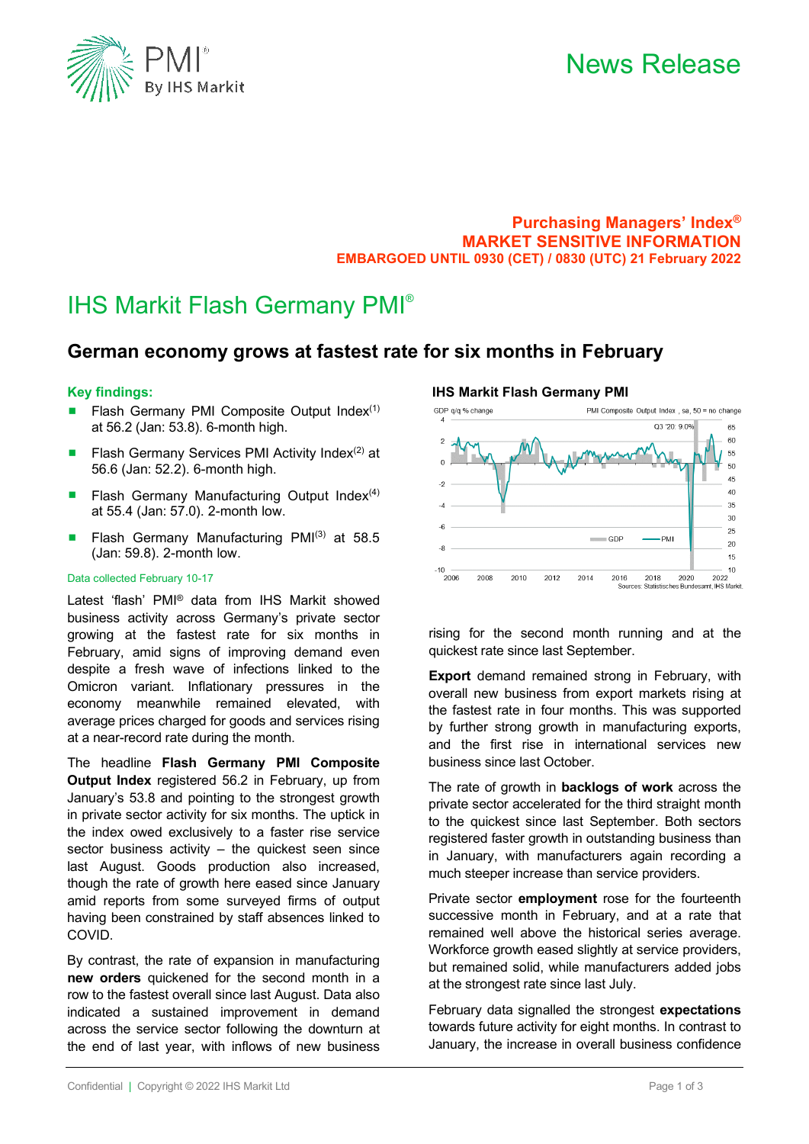

### **Purchasing Managers' Index® MARKET SENSITIVE INFORMATION EMBARGOED UNTIL 0930 (CET) / 0830 (UTC) 21 February 2022**

**IHS Markit Flash Germany PMI** 

### IHS Markit Flash Germany PMI®

### **German economy grows at fastest rate for six months in February**

### **Key findings:**

- Flash Germany PMI Composite Output Index $(1)$ at 56.2 (Jan: 53.8). 6-month high.
- **Filash Germany Services PMI Activity Index**<sup>(2)</sup> at 56.6 (Jan: 52.2). 6-month high.
- **Flash Germany Manufacturing Output Index** $(4)$ at 55.4 (Jan: 57.0). 2-month low.
- **Flash Germany Manufacturing PMI(3) at 58.5** (Jan: 59.8). 2-month low.

### Data collected February 10-17

Latest 'flash' PMI® data from IHS Markit showed business activity across Germany's private sector growing at the fastest rate for six months in February, amid signs of improving demand even despite a fresh wave of infections linked to the Omicron variant. Inflationary pressures in the economy meanwhile remained elevated, with average prices charged for goods and services rising at a near-record rate during the month.

The headline **Flash Germany PMI Composite Output Index** registered 56.2 in February, up from January's 53.8 and pointing to the strongest growth in private sector activity for six months. The uptick in the index owed exclusively to a faster rise service sector business activity – the quickest seen since last August. Goods production also increased, though the rate of growth here eased since January amid reports from some surveyed firms of output having been constrained by staff absences linked to COVID.

By contrast, the rate of expansion in manufacturing **new orders** quickened for the second month in a row to the fastest overall since last August. Data also indicated a sustained improvement in demand across the service sector following the downturn at the end of last year, with inflows of new business

#### GDP q/q % change PMI Composite Output Index sa  $50 =$  no change 03.20: 9.0% 65 60  $\overline{2}$ 55 50 45  $-2$  $40$  $35$  $\overline{A}$  $30^{\circ}$  $-\epsilon$  $25$  $-GDF$ - PMI  $20$  $\overline{\mathbf{S}}$  $15$  $10$  $-10$  $2006$ 2008 2010 2012  $2014$ 2016 2018 2020 2022

rising for the second month running and at the quickest rate since last September.

**Export** demand remained strong in February, with overall new business from export markets rising at the fastest rate in four months. This was supported by further strong growth in manufacturing exports, and the first rise in international services new business since last October.

The rate of growth in **backlogs of work** across the private sector accelerated for the third straight month to the quickest since last September. Both sectors registered faster growth in outstanding business than in January, with manufacturers again recording a much steeper increase than service providers.

Private sector **employment** rose for the fourteenth successive month in February, and at a rate that remained well above the historical series average. Workforce growth eased slightly at service providers, but remained solid, while manufacturers added jobs at the strongest rate since last July.

February data signalled the strongest **expectations** towards future activity for eight months. In contrast to January, the increase in overall business confidence

Sources: Statistisches Bundesamt, IHS Markit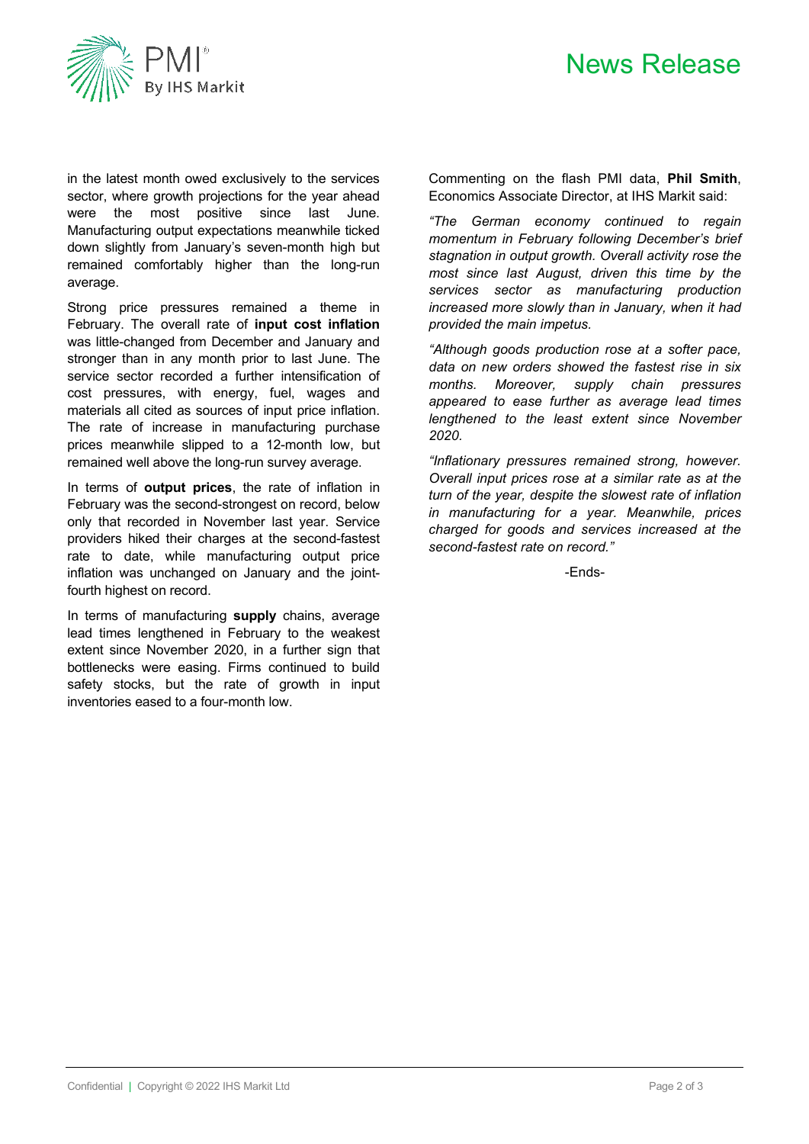# News Release



in the latest month owed exclusively to the services sector, where growth projections for the year ahead were the most positive since last June. Manufacturing output expectations meanwhile ticked down slightly from January's seven-month high but remained comfortably higher than the long-run average.

Strong price pressures remained a theme in February. The overall rate of **input cost inflation** was little-changed from December and January and stronger than in any month prior to last June. The service sector recorded a further intensification of cost pressures, with energy, fuel, wages and materials all cited as sources of input price inflation. The rate of increase in manufacturing purchase prices meanwhile slipped to a 12-month low, but remained well above the long-run survey average.

In terms of **output prices**, the rate of inflation in February was the second-strongest on record, below only that recorded in November last year. Service providers hiked their charges at the second-fastest rate to date, while manufacturing output price inflation was unchanged on January and the jointfourth highest on record.

In terms of manufacturing **supply** chains, average lead times lengthened in February to the weakest extent since November 2020, in a further sign that bottlenecks were easing. Firms continued to build safety stocks, but the rate of growth in input inventories eased to a four-month low.

Commenting on the flash PMI data, **Phil Smith**, Economics Associate Director, at IHS Markit said:

*"The German economy continued to regain momentum in February following December's brief stagnation in output growth. Overall activity rose the most since last August, driven this time by the services sector as manufacturing production increased more slowly than in January, when it had provided the main impetus.* 

*"Although goods production rose at a softer pace, data on new orders showed the fastest rise in six months. Moreover, supply chain pressures appeared to ease further as average lead times lengthened to the least extent since November 2020.*

*"Inflationary pressures remained strong, however. Overall input prices rose at a similar rate as at the turn of the year, despite the slowest rate of inflation in manufacturing for a year. Meanwhile, prices charged for goods and services increased at the second-fastest rate on record."*

-Ends-